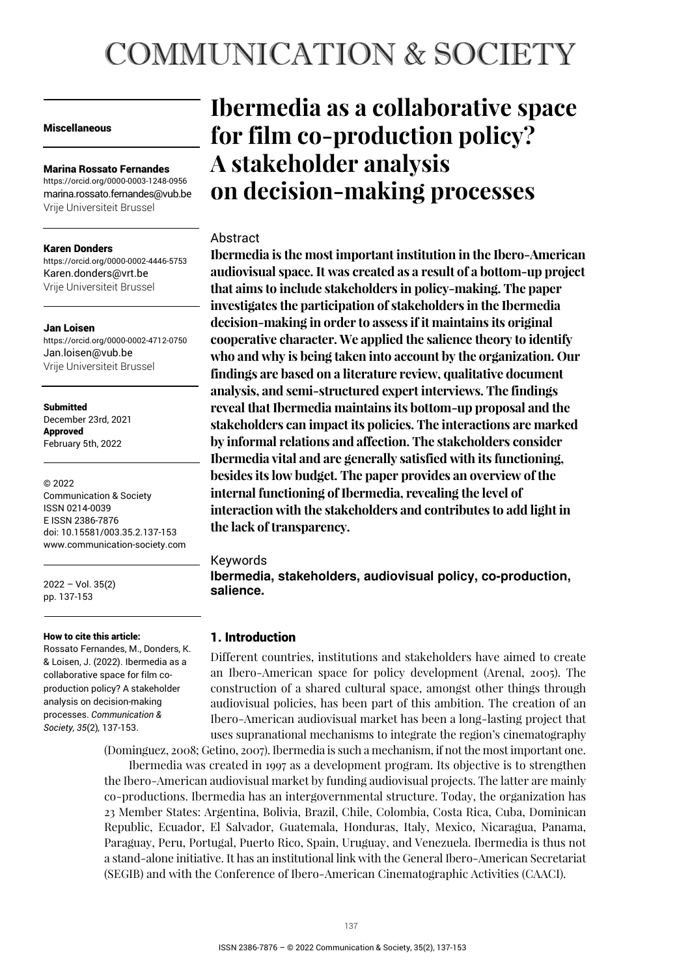# **COMMUNICATION & SOCIETY**

#### Miscellaneous

#### Marina Rossato Fernandes

https://orcid.org/0000-0003-1248-0956 marina.rossato.fernandes@vub.be Vrije Universiteit Brussel

#### Karen Donders

https://orcid.org/0000-0002-4446-5753 Karen.donders@vrt.be Vrije Universiteit Brussel

#### Jan Loisen

https://orcid.org/0000-0002-4712-0750 Jan.loisen@vub.be Vrije Universiteit Brussel

#### Submitted

December 23rd, 2021 Approved February 5th, 2022

#### © 2022

Communication & Society ISSN 0214-0039 E ISSN 2386-7876 doi: 10.15581/003.35.2.137-153 www.communication-society.com

2022 – Vol. 35(2) pp. 137-153

#### How to cite this article:

Rossato Fernandes, M., Donders, K. & Loisen, J. (2022). Ibermedia as a collaborative space for film coproduction policy? A stakeholder analysis on decision-making processes. *Communication & Society, 35*(2)*,* 137-153.

# **Ibermedia as a collaborative space for film co-production policy? A stakeholder analysis on decision-making processes**

#### **Abstract**

**Ibermedia is the most important institution in the Ibero-American audiovisual space. It was created as a result of a bottom-up project that aims to include stakeholders in policy-making. The paper investigates the participation of stakeholders in the Ibermedia decision-making in order to assess if it maintains its original cooperative character. We applied the salience theory to identify who and why is being taken into account by the organization. Our findings are based on a literature review, qualitative document analysis, and semi-structured expert interviews. The findings reveal that Ibermedia maintains its bottom-up proposal and the stakeholders can impact its policies. The interactions are marked by informal relations and affection. The stakeholders consider Ibermedia vital and are generally satisfied with its functioning, besides its low budget. The paper provides an overview of the internal functioning of Ibermedia, revealing the level of interaction with the stakeholders and contributes to add light in the lack of transparency.** 

#### Keywords

**Ibermedia, stakeholders, audiovisual policy, co-production, salience.** 

#### 1. Introduction

Different countries, institutions and stakeholders have aimed to create an Ibero-American space for policy development (Arenal, 2005). The construction of a shared cultural space, amongst other things through audiovisual policies, has been part of this ambition. The creation of an Ibero-American audiovisual market has been a long-lasting project that uses supranational mechanisms to integrate the region's cinematography

(Dominguez, 2008; Getino, 2007). Ibermedia is such a mechanism, if not the most important one. Ibermedia was created in 1997 as a development program. Its objective is to strengthen the Ibero-American audiovisual market by funding audiovisual projects. The latter are mainly co-productions. Ibermedia has an intergovernmental structure. Today, the organization has 23 Member States: Argentina, Bolivia, Brazil, Chile, Colombia, Costa Rica, Cuba, Dominican Republic, Ecuador, El Salvador, Guatemala, Honduras, Italy, Mexico, Nicaragua, Panama, Paraguay, Peru, Portugal, Puerto Rico, Spain, Uruguay, and Venezuela. Ibermedia is thus not a stand-alone initiative. It has an institutional link with the General Ibero-American Secretariat (SEGIB) and with the Conference of Ibero-American Cinematographic Activities (CAACI).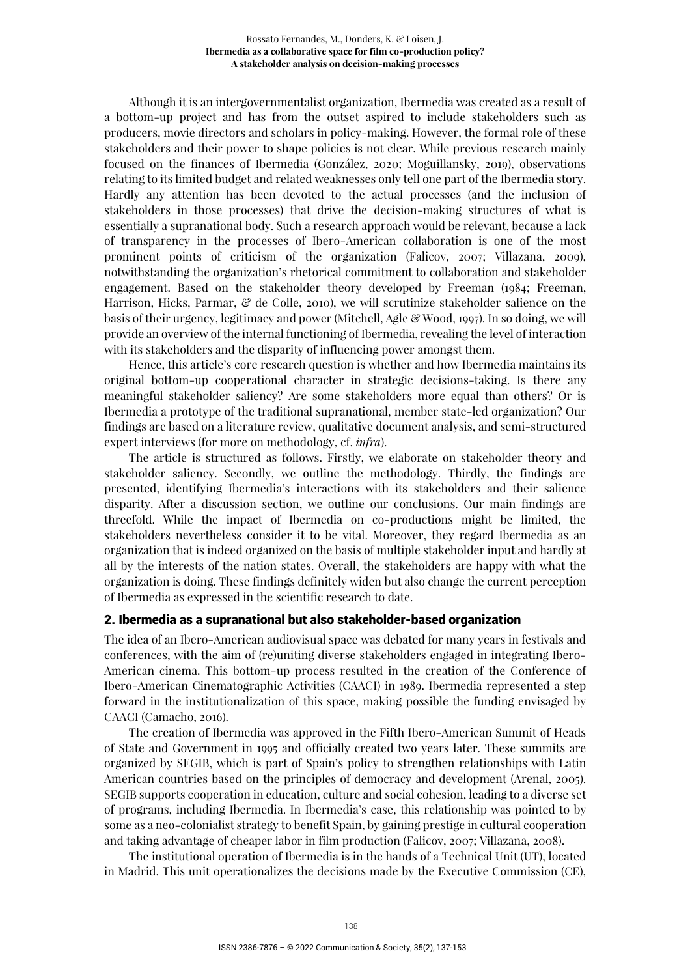Although it is an intergovernmentalist organization, Ibermedia was created as a result of a bottom-up project and has from the outset aspired to include stakeholders such as producers, movie directors and scholars in policy-making. However, the formal role of these stakeholders and their power to shape policies is not clear. While previous research mainly focused on the finances of Ibermedia (González, 2020; Moguillansky, 2019), observations relating to its limited budget and related weaknesses only tell one part of the Ibermedia story. Hardly any attention has been devoted to the actual processes (and the inclusion of stakeholders in those processes) that drive the decision-making structures of what is essentially a supranational body. Such a research approach would be relevant, because a lack of transparency in the processes of Ibero-American collaboration is one of the most prominent points of criticism of the organization (Falicov, 2007; Villazana, 2009), notwithstanding the organization's rhetorical commitment to collaboration and stakeholder engagement. Based on the stakeholder theory developed by Freeman (1984; Freeman, Harrison, Hicks, Parmar,  $\mathcal{C}$  de Colle, 2010), we will scrutinize stakeholder salience on the basis of their urgency, legitimacy and power (Mitchell, Agle & Wood, 1997). In so doing, we will provide an overview of the internal functioning of Ibermedia, revealing the level of interaction with its stakeholders and the disparity of influencing power amongst them.

Hence, this article's core research question is whether and how Ibermedia maintains its original bottom-up cooperational character in strategic decisions-taking. Is there any meaningful stakeholder saliency? Are some stakeholders more equal than others? Or is Ibermedia a prototype of the traditional supranational, member state-led organization? Our findings are based on a literature review, qualitative document analysis, and semi-structured expert interviews (for more on methodology, cf. *infra*).

The article is structured as follows. Firstly, we elaborate on stakeholder theory and stakeholder saliency. Secondly, we outline the methodology. Thirdly, the findings are presented, identifying Ibermedia's interactions with its stakeholders and their salience disparity. After a discussion section, we outline our conclusions. Our main findings are threefold. While the impact of Ibermedia on co-productions might be limited, the stakeholders nevertheless consider it to be vital. Moreover, they regard Ibermedia as an organization that is indeed organized on the basis of multiple stakeholder input and hardly at all by the interests of the nation states. Overall, the stakeholders are happy with what the organization is doing. These findings definitely widen but also change the current perception of Ibermedia as expressed in the scientific research to date.

# 2. Ibermedia as a supranational but also stakeholder-based organization

The idea of an Ibero-American audiovisual space was debated for many years in festivals and conferences, with the aim of (re)uniting diverse stakeholders engaged in integrating Ibero-American cinema. This bottom-up process resulted in the creation of the Conference of Ibero-American Cinematographic Activities (CAACI) in 1989. Ibermedia represented a step forward in the institutionalization of this space, making possible the funding envisaged by CAACI (Camacho, 2016).

The creation of Ibermedia was approved in the Fifth Ibero-American Summit of Heads of State and Government in 1995 and officially created two years later. These summits are organized by SEGIB, which is part of Spain's policy to strengthen relationships with Latin American countries based on the principles of democracy and development (Arenal, 2005). SEGIB supports cooperation in education, culture and social cohesion, leading to a diverse set of programs, including Ibermedia. In Ibermedia's case, this relationship was pointed to by some as a neo-colonialist strategy to benefit Spain, by gaining prestige in cultural cooperation and taking advantage of cheaper labor in film production (Falicov, 2007; Villazana, 2008).

The institutional operation of Ibermedia is in the hands of a Technical Unit (UT), located in Madrid. This unit operationalizes the decisions made by the Executive Commission (CE),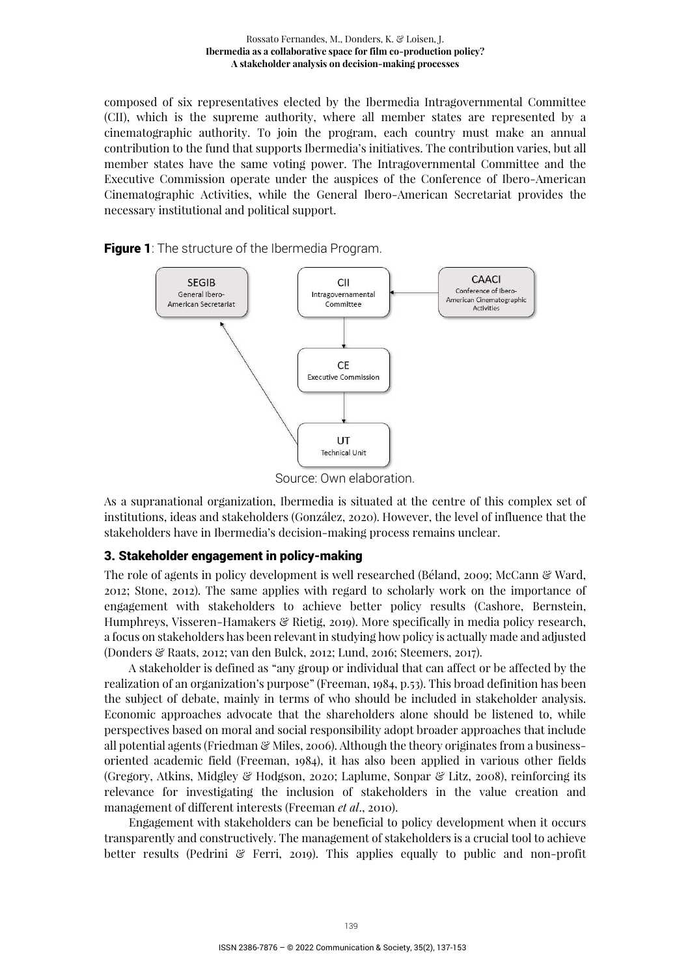composed of six representatives elected by the Ibermedia Intragovernmental Committee (CII), which is the supreme authority, where all member states are represented by a cinematographic authority. To join the program, each country must make an annual contribution to the fund that supports Ibermedia's initiatives. The contribution varies, but all member states have the same voting power. The Intragovernmental Committee and the Executive Commission operate under the auspices of the Conference of Ibero-American Cinematographic Activities, while the General Ibero-American Secretariat provides the necessary institutional and political support.

**Figure 1**: The structure of the Ibermedia Program.



Source: Own elaboration.

As a supranational organization, Ibermedia is situated at the centre of this complex set of institutions, ideas and stakeholders (González, 2020). However, the level of influence that the stakeholders have in Ibermedia's decision-making process remains unclear.

#### 3. Stakeholder engagement in policy-making

The role of agents in policy development is well researched (Béland, 2009; McCann & Ward, 2012; Stone, 2012). The same applies with regard to scholarly work on the importance of engagement with stakeholders to achieve better policy results (Cashore, Bernstein, Humphreys, Visseren-Hamakers & Rietig, 2019). More specifically in media policy research, a focus on stakeholders has been relevant in studying how policy is actually made and adjusted (Donders & Raats, 2012; van den Bulck, 2012; Lund, 2016; Steemers, 2017).

A stakeholder is defined as "any group or individual that can affect or be affected by the realization of an organization's purpose" (Freeman, 1984, p.53). This broad definition has been the subject of debate, mainly in terms of who should be included in stakeholder analysis. Economic approaches advocate that the shareholders alone should be listened to, while perspectives based on moral and social responsibility adopt broader approaches that include all potential agents (Friedman  $\mathcal{C}$  Miles, 2006). Although the theory originates from a businessoriented academic field (Freeman, 1984), it has also been applied in various other fields (Gregory, Atkins, Midgley & Hodgson, 2020; Laplume, Sonpar & Litz, 2008), reinforcing its relevance for investigating the inclusion of stakeholders in the value creation and management of different interests (Freeman *et al*., 2010).

Engagement with stakeholders can be beneficial to policy development when it occurs transparently and constructively. The management of stakeholders is a crucial tool to achieve better results (Pedrini & Ferri, 2019). This applies equally to public and non-profit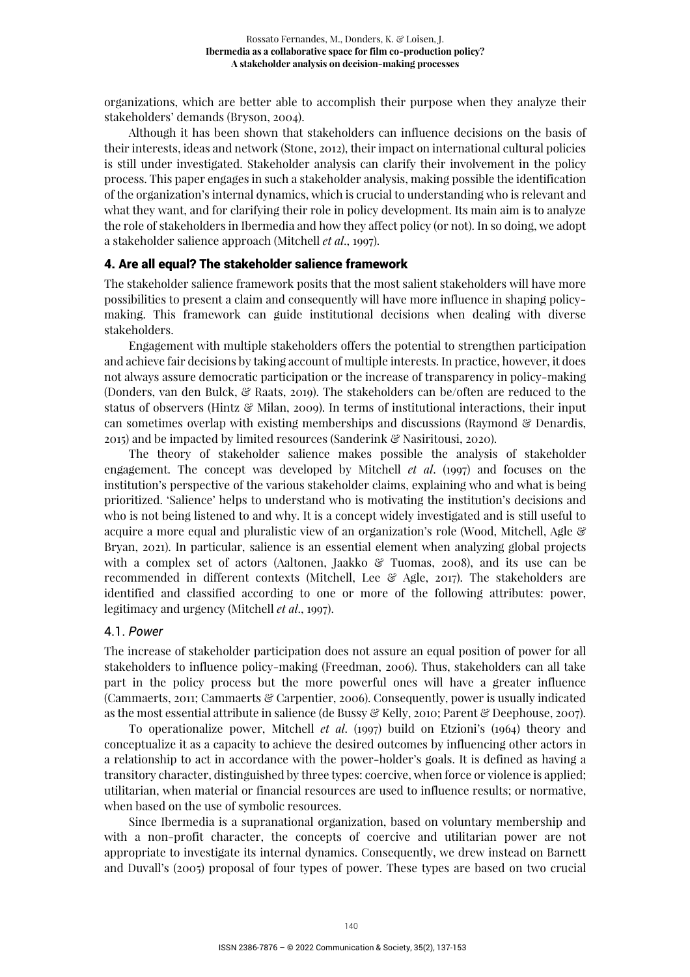organizations, which are better able to accomplish their purpose when they analyze their stakeholders' demands (Bryson, 2004).

Although it has been shown that stakeholders can influence decisions on the basis of their interests, ideas and network (Stone, 2012), their impact on international cultural policies is still under investigated. Stakeholder analysis can clarify their involvement in the policy process. This paper engages in such a stakeholder analysis, making possible the identification of the organization's internal dynamics, which is crucial to understanding who is relevant and what they want, and for clarifying their role in policy development. Its main aim is to analyze the role of stakeholders in Ibermedia and how they affect policy (or not). In so doing, we adopt a stakeholder salience approach (Mitchell *et al*., 1997).

#### 4. Are all equal? The stakeholder salience framework

The stakeholder salience framework posits that the most salient stakeholders will have more possibilities to present a claim and consequently will have more influence in shaping policymaking. This framework can guide institutional decisions when dealing with diverse stakeholders.

Engagement with multiple stakeholders offers the potential to strengthen participation and achieve fair decisions by taking account of multiple interests. In practice, however, it does not always assure democratic participation or the increase of transparency in policy-making (Donders, van den Bulck, & Raats, 2019). The stakeholders can be/often are reduced to the status of observers (Hintz & Milan, 2009). In terms of institutional interactions, their input can sometimes overlap with existing memberships and discussions (Raymond & Denardis, 2015) and be impacted by limited resources (Sanderink & Nasiritousi, 2020).

The theory of stakeholder salience makes possible the analysis of stakeholder engagement. The concept was developed by Mitchell *et al*. (1997) and focuses on the institution's perspective of the various stakeholder claims, explaining who and what is being prioritized. 'Salience' helps to understand who is motivating the institution's decisions and who is not being listened to and why. It is a concept widely investigated and is still useful to acquire a more equal and pluralistic view of an organization's role (Wood, Mitchell, Agle & Bryan, 2021). In particular, salience is an essential element when analyzing global projects with a complex set of actors (Aaltonen, Jaakko  $\mathcal{C}$  Tuomas, 2008), and its use can be recommended in different contexts (Mitchell, Lee & Agle, 2017). The stakeholders are identified and classified according to one or more of the following attributes: power, legitimacy and urgency (Mitchell *et al*., 1997).

#### 4.1. *Power*

The increase of stakeholder participation does not assure an equal position of power for all stakeholders to influence policy-making (Freedman, 2006). Thus, stakeholders can all take part in the policy process but the more powerful ones will have a greater influence (Cammaerts, 2011; Cammaerts & Carpentier, 2006). Consequently, power is usually indicated as the most essential attribute in salience (de Bussy & Kelly, 2010; Parent & Deephouse, 2007).

To operationalize power, Mitchell *et al*. (1997) build on Etzioni's (1964) theory and conceptualize it as a capacity to achieve the desired outcomes by influencing other actors in a relationship to act in accordance with the power-holder's goals. It is defined as having a transitory character, distinguished by three types: coercive, when force or violence is applied; utilitarian, when material or financial resources are used to influence results; or normative, when based on the use of symbolic resources.

Since Ibermedia is a supranational organization, based on voluntary membership and with a non-profit character, the concepts of coercive and utilitarian power are not appropriate to investigate its internal dynamics. Consequently, we drew instead on Barnett and Duvall's (2005) proposal of four types of power. These types are based on two crucial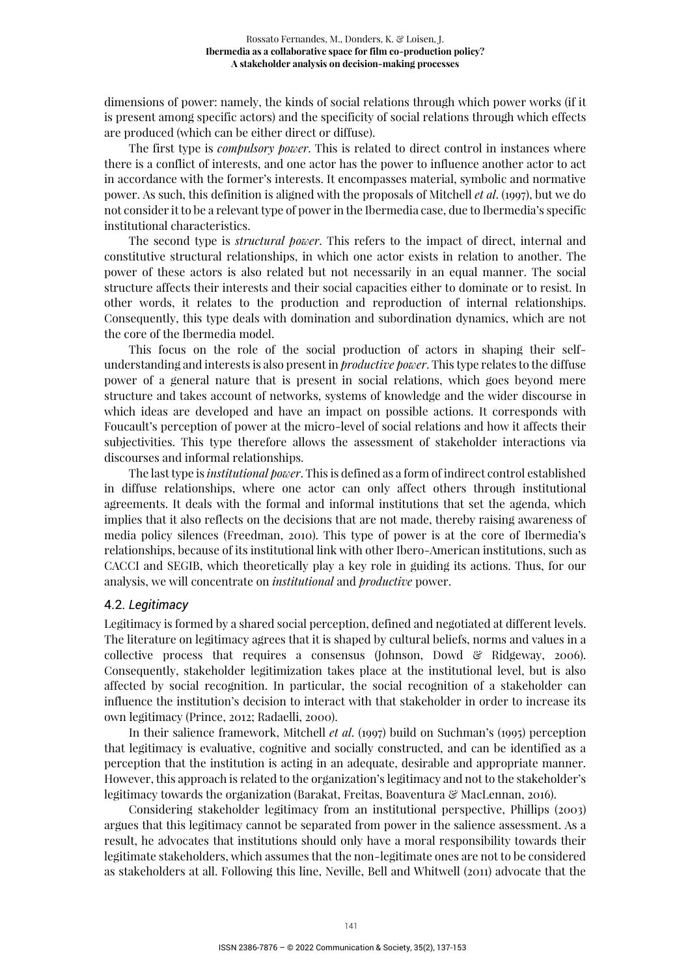dimensions of power: namely, the kinds of social relations through which power works (if it is present among specific actors) and the specificity of social relations through which effects are produced (which can be either direct or diffuse).

The first type is *compulsory power*. This is related to direct control in instances where there is a conflict of interests, and one actor has the power to influence another actor to act in accordance with the former's interests. It encompasses material, symbolic and normative power. As such, this definition is aligned with the proposals of Mitchell *et al*. (1997), but we do not consider it to be a relevant type of power in the Ibermedia case, due to Ibermedia's specific institutional characteristics.

The second type is *structural power*. This refers to the impact of direct, internal and constitutive structural relationships, in which one actor exists in relation to another. The power of these actors is also related but not necessarily in an equal manner. The social structure affects their interests and their social capacities either to dominate or to resist. In other words, it relates to the production and reproduction of internal relationships. Consequently, this type deals with domination and subordination dynamics, which are not the core of the Ibermedia model.

This focus on the role of the social production of actors in shaping their selfunderstanding and interests is also present in *productive power*. This type relates to the diffuse power of a general nature that is present in social relations, which goes beyond mere structure and takes account of networks, systems of knowledge and the wider discourse in which ideas are developed and have an impact on possible actions. It corresponds with Foucault's perception of power at the micro-level of social relations and how it affects their subjectivities. This type therefore allows the assessment of stakeholder interactions via discourses and informal relationships.

The last type is *institutional power*. This is defined as a form of indirect control established in diffuse relationships, where one actor can only affect others through institutional agreements. It deals with the formal and informal institutions that set the agenda, which implies that it also reflects on the decisions that are not made, thereby raising awareness of media policy silences (Freedman, 2010). This type of power is at the core of Ibermedia's relationships, because of its institutional link with other Ibero-American institutions, such as CACCI and SEGIB, which theoretically play a key role in guiding its actions. Thus, for our analysis, we will concentrate on *institutional* and *productive* power.

#### 4.2. *Legitimacy*

Legitimacy is formed by a shared social perception, defined and negotiated at different levels. The literature on legitimacy agrees that it is shaped by cultural beliefs, norms and values in a collective process that requires a consensus (Johnson, Dowd  $\mathcal{C}$  Ridgeway, 2006). Consequently, stakeholder legitimization takes place at the institutional level, but is also affected by social recognition. In particular, the social recognition of a stakeholder can influence the institution's decision to interact with that stakeholder in order to increase its own legitimacy (Prince, 2012; Radaelli, 2000).

In their salience framework, Mitchell *et al*. (1997) build on Suchman's (1995) perception that legitimacy is evaluative, cognitive and socially constructed, and can be identified as a perception that the institution is acting in an adequate, desirable and appropriate manner. However, this approach is related to the organization's legitimacy and not to the stakeholder's legitimacy towards the organization (Barakat, Freitas, Boaventura & MacLennan, 2016).

Considering stakeholder legitimacy from an institutional perspective, Phillips (2003) argues that this legitimacy cannot be separated from power in the salience assessment. As a result, he advocates that institutions should only have a moral responsibility towards their legitimate stakeholders, which assumes that the non-legitimate ones are not to be considered as stakeholders at all. Following this line, Neville, Bell and Whitwell (2011) advocate that the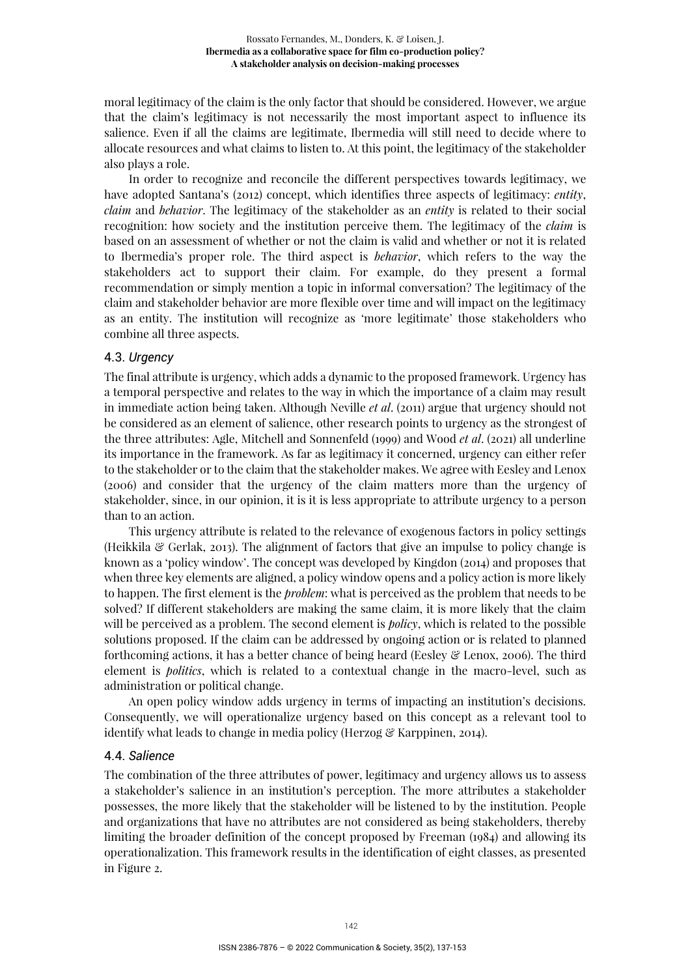moral legitimacy of the claim is the only factor that should be considered. However, we argue that the claim's legitimacy is not necessarily the most important aspect to influence its salience. Even if all the claims are legitimate, Ibermedia will still need to decide where to allocate resources and what claims to listen to. At this point, the legitimacy of the stakeholder also plays a role.

In order to recognize and reconcile the different perspectives towards legitimacy, we have adopted Santana's (2012) concept, which identifies three aspects of legitimacy: *entity*, *claim* and *behavior*. The legitimacy of the stakeholder as an *entity* is related to their social recognition: how society and the institution perceive them. The legitimacy of the *claim* is based on an assessment of whether or not the claim is valid and whether or not it is related to Ibermedia's proper role. The third aspect is *behavior*, which refers to the way the stakeholders act to support their claim. For example, do they present a formal recommendation or simply mention a topic in informal conversation? The legitimacy of the claim and stakeholder behavior are more flexible over time and will impact on the legitimacy as an entity. The institution will recognize as 'more legitimate' those stakeholders who combine all three aspects.

# 4.3. *Urgency*

The final attribute is urgency, which adds a dynamic to the proposed framework. Urgency has a temporal perspective and relates to the way in which the importance of a claim may result in immediate action being taken. Although Neville *et al*. (2011) argue that urgency should not be considered as an element of salience, other research points to urgency as the strongest of the three attributes: Agle, Mitchell and Sonnenfeld (1999) and Wood *et al*. (2021) all underline its importance in the framework. As far as legitimacy it concerned, urgency can either refer to the stakeholder or to the claim that the stakeholder makes. We agree with Eesley and Lenox (2006) and consider that the urgency of the claim matters more than the urgency of stakeholder, since, in our opinion, it is it is less appropriate to attribute urgency to a person than to an action.

This urgency attribute is related to the relevance of exogenous factors in policy settings (Heikkila  $\mathcal{E}$  Gerlak, 2013). The alignment of factors that give an impulse to policy change is known as a 'policy window'. The concept was developed by Kingdon (2014) and proposes that when three key elements are aligned, a policy window opens and a policy action is more likely to happen. The first element is the *problem*: what is perceived as the problem that needs to be solved? If different stakeholders are making the same claim, it is more likely that the claim will be perceived as a problem. The second element is *policy*, which is related to the possible solutions proposed. If the claim can be addressed by ongoing action or is related to planned forthcoming actions, it has a better chance of being heard (Eesley & Lenox, 2006). The third element is *politics*, which is related to a contextual change in the macro-level, such as administration or political change.

An open policy window adds urgency in terms of impacting an institution's decisions. Consequently, we will operationalize urgency based on this concept as a relevant tool to identify what leads to change in media policy (Herzog & Karppinen, 2014).

#### 4.4. *Salience*

The combination of the three attributes of power, legitimacy and urgency allows us to assess a stakeholder's salience in an institution's perception. The more attributes a stakeholder possesses, the more likely that the stakeholder will be listened to by the institution. People and organizations that have no attributes are not considered as being stakeholders, thereby limiting the broader definition of the concept proposed by Freeman (1984) and allowing its operationalization. This framework results in the identification of eight classes, as presented in Figure 2.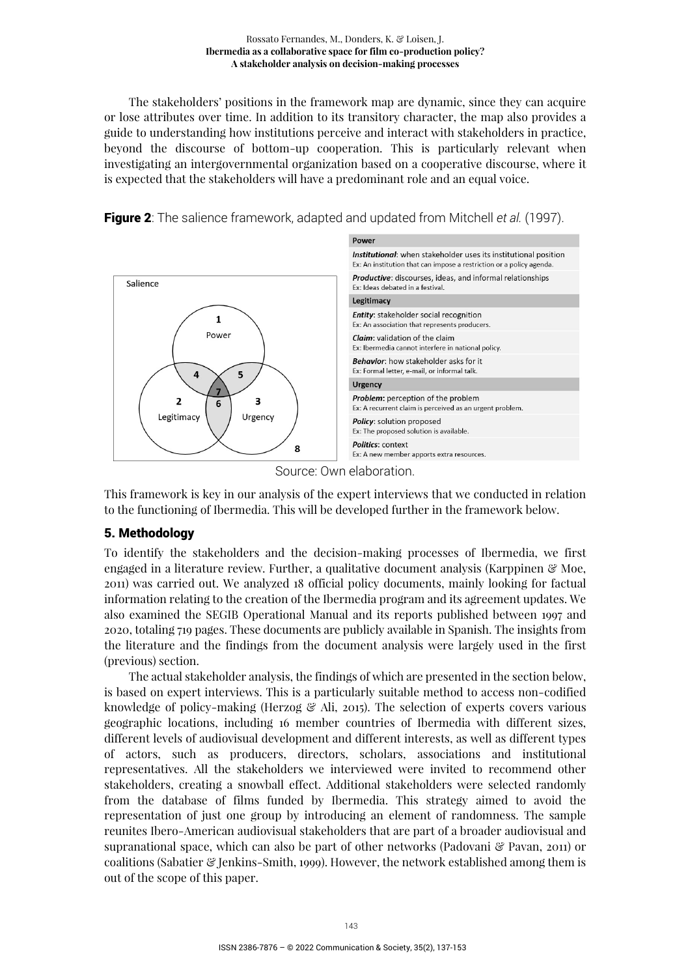#### Rossato Fernandes, M., Donders, K. & Loisen, J. **Ibermedia as a collaborative space for film co-production policy? A stakeholder analysis on decision-making processes**

The stakeholders' positions in the framework map are dynamic, since they can acquire or lose attributes over time. In addition to its transitory character, the map also provides a guide to understanding how institutions perceive and interact with stakeholders in practice, beyond the discourse of bottom-up cooperation. This is particularly relevant when investigating an intergovernmental organization based on a cooperative discourse, where it is expected that the stakeholders will have a predominant role and an equal voice.



Figure 2: The salience framework, adapted and updated from Mitchell *et al.* (1997).

Source: Own elaboration.

This framework is key in our analysis of the expert interviews that we conducted in relation to the functioning of Ibermedia. This will be developed further in the framework below.

# 5. Methodology

To identify the stakeholders and the decision-making processes of Ibermedia, we first engaged in a literature review. Further, a qualitative document analysis (Karppinen & Moe, 2011) was carried out. We analyzed 18 official policy documents, mainly looking for factual information relating to the creation of the Ibermedia program and its agreement updates. We also examined the SEGIB Operational Manual and its reports published between 1997 and 2020, totaling 719 pages. These documents are publicly available in Spanish. The insights from the literature and the findings from the document analysis were largely used in the first (previous) section.

The actual stakeholder analysis, the findings of which are presented in the section below, is based on expert interviews. This is a particularly suitable method to access non-codified knowledge of policy-making (Herzog & Ali, 2015). The selection of experts covers various geographic locations, including 16 member countries of Ibermedia with different sizes, different levels of audiovisual development and different interests, as well as different types of actors, such as producers, directors, scholars, associations and institutional representatives. All the stakeholders we interviewed were invited to recommend other stakeholders, creating a snowball effect. Additional stakeholders were selected randomly from the database of films funded by Ibermedia. This strategy aimed to avoid the representation of just one group by introducing an element of randomness. The sample reunites Ibero-American audiovisual stakeholders that are part of a broader audiovisual and supranational space, which can also be part of other networks (Padovani & Pavan, 2011) or coalitions (Sabatier & Jenkins-Smith, 1999). However, the network established among them is out of the scope of this paper.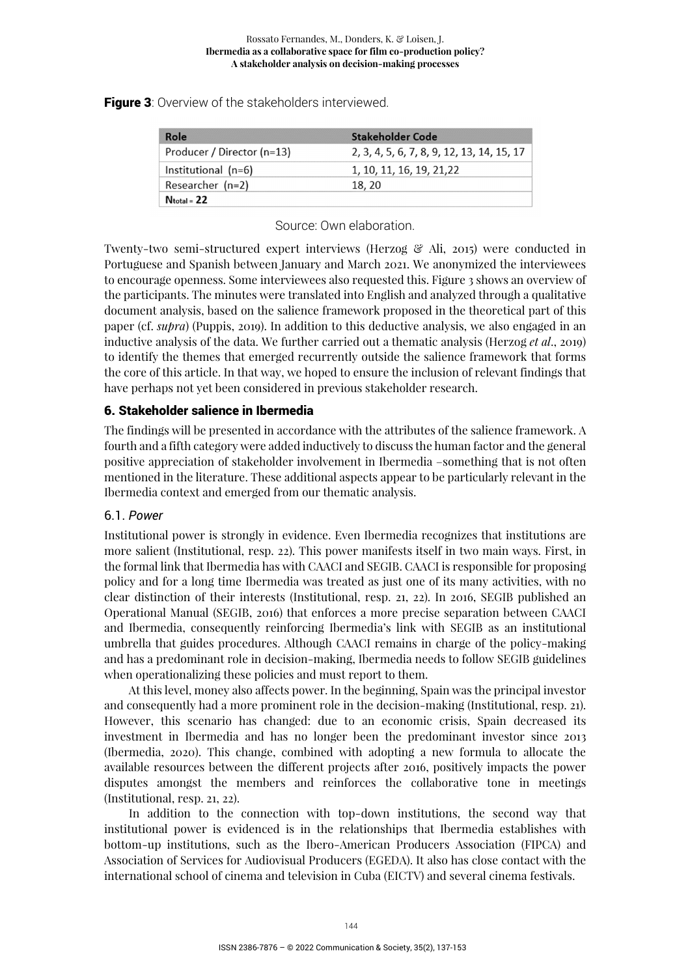| Role                       | <b>Stakeholder Code</b>                    |
|----------------------------|--------------------------------------------|
| Producer / Director (n=13) | 2, 3, 4, 5, 6, 7, 8, 9, 12, 13, 14, 15, 17 |
| Institutional (n=6)        | 1, 10, 11, 16, 19, 21, 22                  |
| Researcher (n=2)           | 18, 20                                     |
| $N_{total} = 22$           |                                            |

Figure 3: Overview of the stakeholders interviewed.

# Source: Own elaboration.

Twenty-two semi-structured expert interviews (Herzog & Ali, 2015) were conducted in Portuguese and Spanish between January and March 2021. We anonymized the interviewees to encourage openness. Some interviewees also requested this. Figure 3 shows an overview of the participants. The minutes were translated into English and analyzed through a qualitative document analysis, based on the salience framework proposed in the theoretical part of this paper (cf. *supra*) (Puppis, 2019). In addition to this deductive analysis, we also engaged in an inductive analysis of the data. We further carried out a thematic analysis (Herzog *et al*., 2019) to identify the themes that emerged recurrently outside the salience framework that forms the core of this article. In that way, we hoped to ensure the inclusion of relevant findings that have perhaps not yet been considered in previous stakeholder research.

# 6. Stakeholder salience in Ibermedia

The findings will be presented in accordance with the attributes of the salience framework. A fourth and a fifth category were added inductively to discuss the human factor and the general positive appreciation of stakeholder involvement in Ibermedia –something that is not often mentioned in the literature. These additional aspects appear to be particularly relevant in the Ibermedia context and emerged from our thematic analysis.

# 6.1. *Power*

Institutional power is strongly in evidence. Even Ibermedia recognizes that institutions are more salient (Institutional, resp. 22). This power manifests itself in two main ways. First, in the formal link that Ibermedia has with CAACI and SEGIB. CAACI is responsible for proposing policy and for a long time Ibermedia was treated as just one of its many activities, with no clear distinction of their interests (Institutional, resp. 21, 22). In 2016, SEGIB published an Operational Manual (SEGIB, 2016) that enforces a more precise separation between CAACI and Ibermedia, consequently reinforcing Ibermedia's link with SEGIB as an institutional umbrella that guides procedures. Although CAACI remains in charge of the policy-making and has a predominant role in decision-making, Ibermedia needs to follow SEGIB guidelines when operationalizing these policies and must report to them.

At this level, money also affects power. In the beginning, Spain was the principal investor and consequently had a more prominent role in the decision-making (Institutional, resp. 21). However, this scenario has changed: due to an economic crisis, Spain decreased its investment in Ibermedia and has no longer been the predominant investor since 2013 (Ibermedia, 2020). This change, combined with adopting a new formula to allocate the available resources between the different projects after 2016, positively impacts the power disputes amongst the members and reinforces the collaborative tone in meetings (Institutional, resp. 21, 22).

In addition to the connection with top-down institutions, the second way that institutional power is evidenced is in the relationships that Ibermedia establishes with bottom-up institutions, such as the Ibero-American Producers Association (FIPCA) and Association of Services for Audiovisual Producers (EGEDA). It also has close contact with the international school of cinema and television in Cuba (EICTV) and several cinema festivals.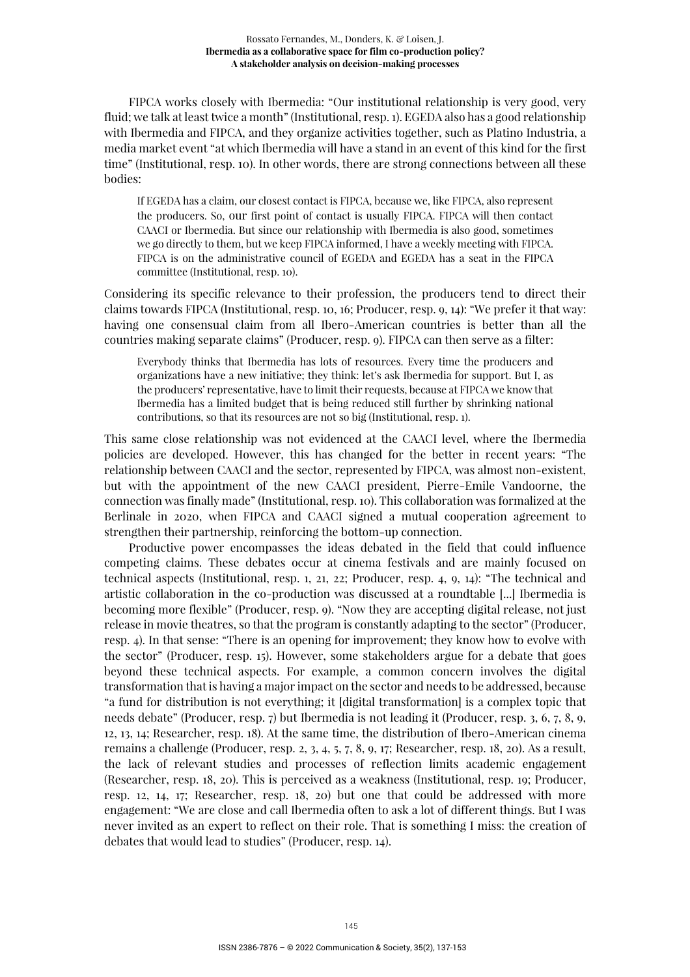#### Rossato Fernandes, M., Donders, K. & Loisen, J. **Ibermedia as a collaborative space for film co-production policy? A stakeholder analysis on decision-making processes**

FIPCA works closely with Ibermedia: "Our institutional relationship is very good, very fluid; we talk at least twice a month" (Institutional, resp. 1). EGEDA also has a good relationship with Ibermedia and FIPCA, and they organize activities together, such as Platino Industria, a media market event "at which Ibermedia will have a stand in an event of this kind for the first time" (Institutional, resp. 10). In other words, there are strong connections between all these bodies:

If EGEDA has a claim, our closest contact is FIPCA, because we, like FIPCA, also represent the producers. So, our first point of contact is usually FIPCA. FIPCA will then contact CAACI or Ibermedia. But since our relationship with Ibermedia is also good, sometimes we go directly to them, but we keep FIPCA informed, I have a weekly meeting with FIPCA. FIPCA is on the administrative council of EGEDA and EGEDA has a seat in the FIPCA committee (Institutional, resp. 10).

Considering its specific relevance to their profession, the producers tend to direct their claims towards FIPCA (Institutional, resp. 10, 16; Producer, resp. 9, 14): "We prefer it that way: having one consensual claim from all Ibero-American countries is better than all the countries making separate claims" (Producer, resp. 9). FIPCA can then serve as a filter:

Everybody thinks that Ibermedia has lots of resources. Every time the producers and organizations have a new initiative; they think: let's ask Ibermedia for support. But I, as the producers' representative, have to limit their requests, because at FIPCA we know that Ibermedia has a limited budget that is being reduced still further by shrinking national contributions, so that its resources are not so big (Institutional, resp. 1).

This same close relationship was not evidenced at the CAACI level, where the Ibermedia policies are developed. However, this has changed for the better in recent years: "The relationship between CAACI and the sector, represented by FIPCA, was almost non-existent, but with the appointment of the new CAACI president, Pierre-Emile Vandoorne, the connection was finally made" (Institutional, resp. 10). This collaboration was formalized at the Berlinale in 2020, when FIPCA and CAACI signed a mutual cooperation agreement to strengthen their partnership, reinforcing the bottom-up connection.

Productive power encompasses the ideas debated in the field that could influence competing claims. These debates occur at cinema festivals and are mainly focused on technical aspects (Institutional, resp. 1, 21, 22; Producer, resp. 4, 9, 14): "The technical and artistic collaboration in the co-production was discussed at a roundtable [...] Ibermedia is becoming more flexible" (Producer, resp. 9). "Now they are accepting digital release, not just release in movie theatres, so that the program is constantly adapting to the sector" (Producer, resp. 4). In that sense: "There is an opening for improvement; they know how to evolve with the sector" (Producer, resp. 15). However, some stakeholders argue for a debate that goes beyond these technical aspects. For example, a common concern involves the digital transformation that is having a major impact on the sector and needs to be addressed, because "a fund for distribution is not everything; it [digital transformation] is a complex topic that needs debate" (Producer, resp. 7) but Ibermedia is not leading it (Producer, resp. 3, 6, 7, 8, 9, 12, 13, 14; Researcher, resp. 18). At the same time, the distribution of Ibero-American cinema remains a challenge (Producer, resp. 2, 3, 4, 5, 7, 8, 9, 17; Researcher, resp. 18, 20). As a result, the lack of relevant studies and processes of reflection limits academic engagement (Researcher, resp. 18, 20). This is perceived as a weakness (Institutional, resp. 19; Producer, resp. 12, 14, 17; Researcher, resp. 18, 20) but one that could be addressed with more engagement: "We are close and call Ibermedia often to ask a lot of different things. But I was never invited as an expert to reflect on their role. That is something I miss: the creation of debates that would lead to studies" (Producer, resp. 14).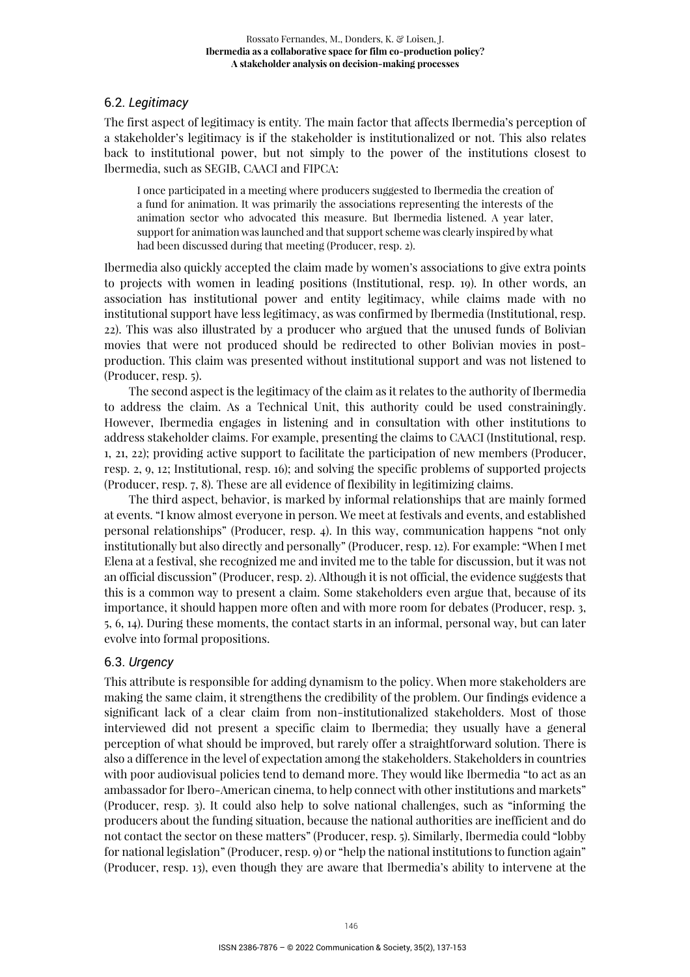# 6.2. *Legitimacy*

The first aspect of legitimacy is entity*.* The main factor that affects Ibermedia's perception of a stakeholder's legitimacy is if the stakeholder is institutionalized or not. This also relates back to institutional power, but not simply to the power of the institutions closest to Ibermedia, such as SEGIB, CAACI and FIPCA:

I once participated in a meeting where producers suggested to Ibermedia the creation of a fund for animation. It was primarily the associations representing the interests of the animation sector who advocated this measure. But Ibermedia listened. A year later, support for animation was launched and that support scheme was clearly inspired by what had been discussed during that meeting (Producer, resp. 2).

Ibermedia also quickly accepted the claim made by women's associations to give extra points to projects with women in leading positions (Institutional, resp. 19). In other words, an association has institutional power and entity legitimacy, while claims made with no institutional support have less legitimacy, as was confirmed by Ibermedia (Institutional, resp. 22). This was also illustrated by a producer who argued that the unused funds of Bolivian movies that were not produced should be redirected to other Bolivian movies in postproduction. This claim was presented without institutional support and was not listened to (Producer, resp. 5).

The second aspect is the legitimacy of the claim as it relates to the authority of Ibermedia to address the claim. As a Technical Unit, this authority could be used constrainingly. However, Ibermedia engages in listening and in consultation with other institutions to address stakeholder claims. For example, presenting the claims to CAACI (Institutional, resp. 1, 21, 22); providing active support to facilitate the participation of new members (Producer, resp. 2, 9, 12; Institutional, resp. 16); and solving the specific problems of supported projects (Producer, resp. 7, 8). These are all evidence of flexibility in legitimizing claims.

The third aspect, behavior, is marked by informal relationships that are mainly formed at events. "I know almost everyone in person. We meet at festivals and events, and established personal relationships" (Producer, resp. 4). In this way, communication happens "not only institutionally but also directly and personally" (Producer, resp. 12). For example: "When I met Elena at a festival, she recognized me and invited me to the table for discussion, but it was not an official discussion" (Producer, resp. 2). Although it is not official, the evidence suggests that this is a common way to present a claim. Some stakeholders even argue that, because of its importance, it should happen more often and with more room for debates (Producer, resp. 3, 5, 6, 14). During these moments, the contact starts in an informal, personal way, but can later evolve into formal propositions.

# 6.3. *Urgency*

This attribute is responsible for adding dynamism to the policy. When more stakeholders are making the same claim, it strengthens the credibility of the problem. Our findings evidence a significant lack of a clear claim from non-institutionalized stakeholders. Most of those interviewed did not present a specific claim to Ibermedia; they usually have a general perception of what should be improved, but rarely offer a straightforward solution. There is also a difference in the level of expectation among the stakeholders. Stakeholders in countries with poor audiovisual policies tend to demand more. They would like Ibermedia "to act as an ambassador for Ibero-American cinema, to help connect with other institutions and markets" (Producer, resp. 3). It could also help to solve national challenges, such as "informing the producers about the funding situation, because the national authorities are inefficient and do not contact the sector on these matters" (Producer, resp. 5). Similarly, Ibermedia could "lobby for national legislation" (Producer, resp. 9) or "help the national institutions to function again" (Producer, resp. 13), even though they are aware that Ibermedia's ability to intervene at the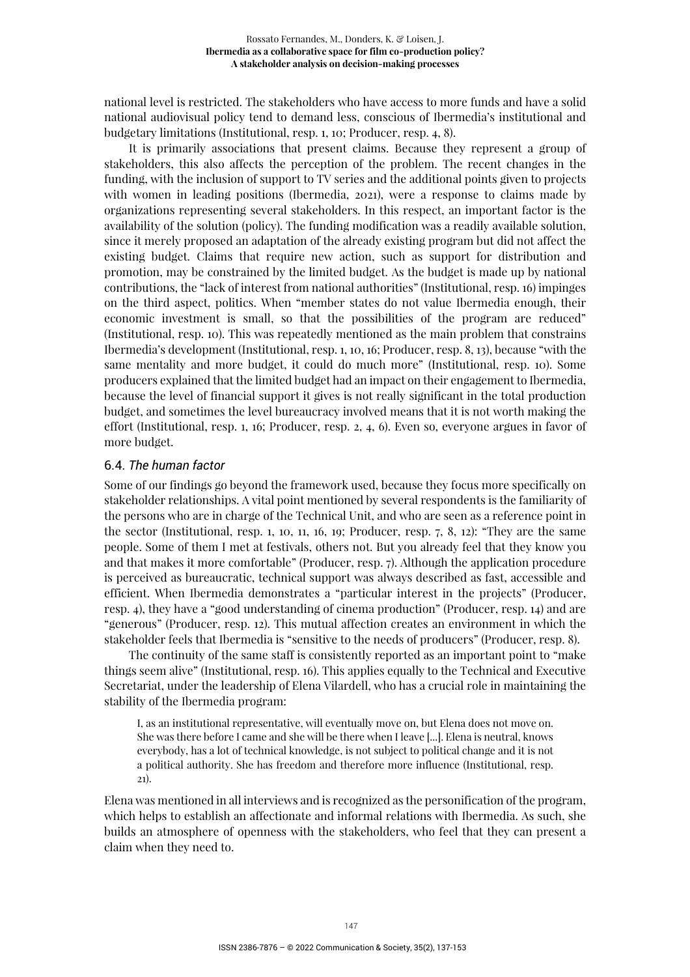national level is restricted. The stakeholders who have access to more funds and have a solid national audiovisual policy tend to demand less, conscious of Ibermedia's institutional and budgetary limitations (Institutional, resp. 1, 10; Producer, resp. 4, 8).

It is primarily associations that present claims. Because they represent a group of stakeholders, this also affects the perception of the problem. The recent changes in the funding, with the inclusion of support to TV series and the additional points given to projects with women in leading positions (Ibermedia, 2021), were a response to claims made by organizations representing several stakeholders. In this respect, an important factor is the availability of the solution (policy). The funding modification was a readily available solution, since it merely proposed an adaptation of the already existing program but did not affect the existing budget. Claims that require new action, such as support for distribution and promotion, may be constrained by the limited budget. As the budget is made up by national contributions, the "lack of interest from national authorities" (Institutional, resp. 16) impinges on the third aspect, politics. When "member states do not value Ibermedia enough, their economic investment is small, so that the possibilities of the program are reduced" (Institutional, resp. 10). This was repeatedly mentioned as the main problem that constrains Ibermedia's development (Institutional, resp. 1, 10, 16; Producer, resp. 8, 13), because "with the same mentality and more budget, it could do much more" (Institutional, resp. 10). Some producers explained that the limited budget had an impact on their engagement to Ibermedia, because the level of financial support it gives is not really significant in the total production budget, and sometimes the level bureaucracy involved means that it is not worth making the effort (Institutional, resp. 1, 16; Producer, resp. 2, 4, 6). Even so, everyone argues in favor of more budget.

#### 6.4. *The human factor*

Some of our findings go beyond the framework used, because they focus more specifically on stakeholder relationships. A vital point mentioned by several respondents is the familiarity of the persons who are in charge of the Technical Unit, and who are seen as a reference point in the sector (Institutional, resp. 1, 10, 11, 16, 19; Producer, resp. 7, 8, 12): "They are the same people. Some of them I met at festivals, others not. But you already feel that they know you and that makes it more comfortable" (Producer, resp. 7). Although the application procedure is perceived as bureaucratic, technical support was always described as fast, accessible and efficient. When Ibermedia demonstrates a "particular interest in the projects" (Producer, resp. 4), they have a "good understanding of cinema production" (Producer, resp. 14) and are "generous" (Producer, resp. 12). This mutual affection creates an environment in which the stakeholder feels that Ibermedia is "sensitive to the needs of producers" (Producer, resp. 8).

The continuity of the same staff is consistently reported as an important point to "make things seem alive" (Institutional, resp. 16). This applies equally to the Technical and Executive Secretariat, under the leadership of Elena Vilardell, who has a crucial role in maintaining the stability of the Ibermedia program:

I, as an institutional representative, will eventually move on, but Elena does not move on. She was there before I came and she will be there when I leave [...]. Elena is neutral, knows everybody, has a lot of technical knowledge, is not subject to political change and it is not a political authority. She has freedom and therefore more influence (Institutional, resp. 21).

Elena was mentioned in all interviews and is recognized as the personification of the program, which helps to establish an affectionate and informal relations with Ibermedia. As such, she builds an atmosphere of openness with the stakeholders, who feel that they can present a claim when they need to.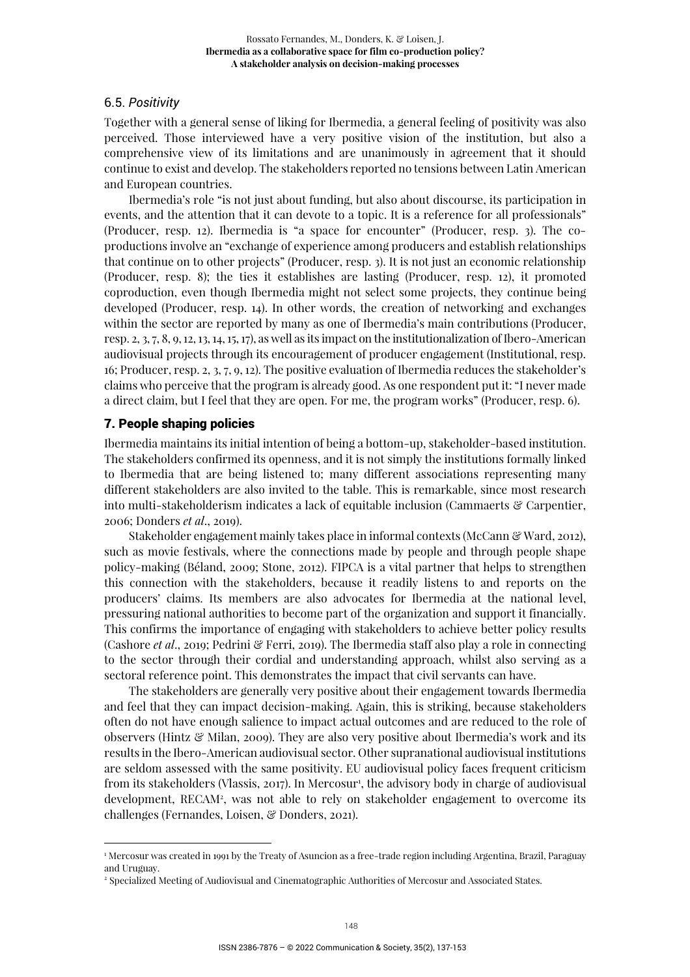# 6.5. *Positivity*

Together with a general sense of liking for Ibermedia, a general feeling of positivity was also perceived. Those interviewed have a very positive vision of the institution, but also a comprehensive view of its limitations and are unanimously in agreement that it should continue to exist and develop. The stakeholders reported no tensions between Latin American and European countries.

Ibermedia's role "is not just about funding, but also about discourse, its participation in events, and the attention that it can devote to a topic. It is a reference for all professionals" (Producer, resp. 12). Ibermedia is "a space for encounter" (Producer, resp. 3). The coproductions involve an "exchange of experience among producers and establish relationships that continue on to other projects" (Producer, resp. 3). It is not just an economic relationship (Producer, resp. 8); the ties it establishes are lasting (Producer, resp. 12), it promoted coproduction, even though Ibermedia might not select some projects, they continue being developed (Producer, resp. 14). In other words, the creation of networking and exchanges within the sector are reported by many as one of Ibermedia's main contributions (Producer, resp. 2, 3, 7, 8, 9, 12, 13, 14, 15, 17), as well as its impact on the institutionalization of Ibero-American audiovisual projects through its encouragement of producer engagement (Institutional, resp. 16; Producer, resp. 2, 3, 7, 9, 12). The positive evaluation of Ibermedia reduces the stakeholder's claims who perceive that the program is already good. As one respondent put it: "I never made a direct claim, but I feel that they are open. For me, the program works" (Producer, resp. 6).

# 7. People shaping policies

Ibermedia maintains its initial intention of being a bottom-up, stakeholder-based institution. The stakeholders confirmed its openness, and it is not simply the institutions formally linked to Ibermedia that are being listened to; many different associations representing many different stakeholders are also invited to the table. This is remarkable, since most research into multi-stakeholderism indicates a lack of equitable inclusion (Cammaerts & Carpentier, 2006; Donders *et al*., 2019).

Stakeholder engagement mainly takes place in informal contexts (McCann & Ward, 2012), such as movie festivals, where the connections made by people and through people shape policy-making (Béland, 2009; Stone, 2012). FIPCA is a vital partner that helps to strengthen this connection with the stakeholders, because it readily listens to and reports on the producers' claims. Its members are also advocates for Ibermedia at the national level, pressuring national authorities to become part of the organization and support it financially. This confirms the importance of engaging with stakeholders to achieve better policy results (Cashore *et al*., 2019; Pedrini & Ferri, 2019). The Ibermedia staff also play a role in connecting to the sector through their cordial and understanding approach, whilst also serving as a sectoral reference point. This demonstrates the impact that civil servants can have.

The stakeholders are generally very positive about their engagement towards Ibermedia and feel that they can impact decision-making. Again, this is striking, because stakeholders often do not have enough salience to impact actual outcomes and are reduced to the role of observers (Hintz & Milan, 2009). They are also very positive about Ibermedia's work and its results in the Ibero-American audiovisual sector. Other supranational audiovisual institutions are seldom assessed with the same positivity. EU audiovisual policy faces frequent criticism from its stakeholders (Vlassis, 2017). In Mercosur<sup>1</sup>, the advisory body in charge of audiovisual development, RECAM<sup>2</sup> , was not able to rely on stakeholder engagement to overcome its challenges (Fernandes, Loisen, & Donders, 2021).

<sup>1</sup> Mercosur was created in 1991 by the Treaty of Asuncion as a free-trade region including Argentina, Brazil, Paraguay and Uruguay.

<sup>2</sup> Specialized Meeting of Audiovisual and Cinematographic Authorities of Mercosur and Associated States.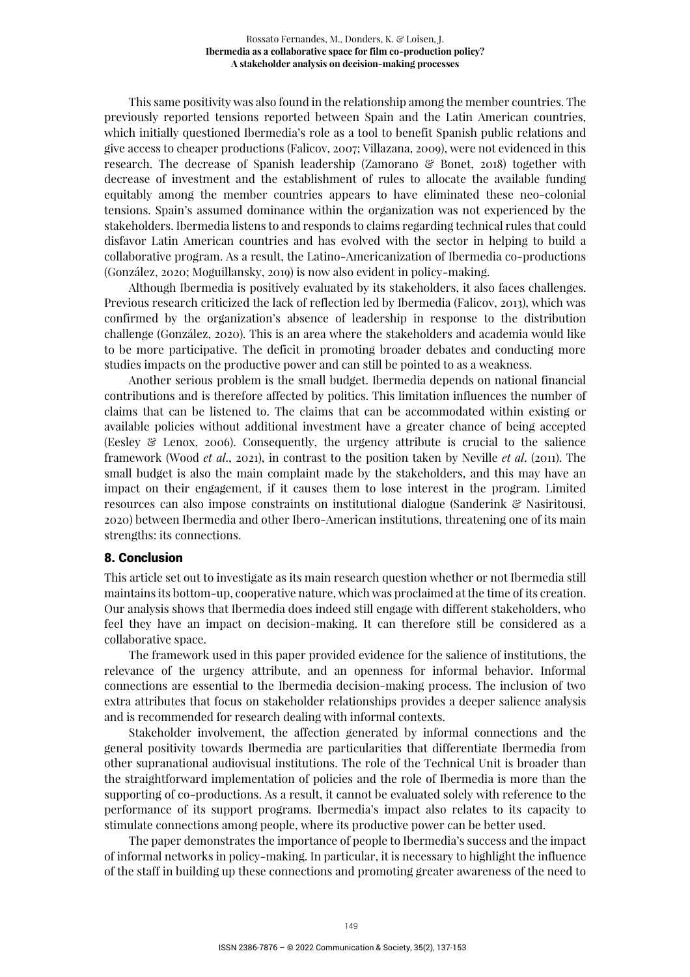This same positivity was also found in the relationship among the member countries. The previously reported tensions reported between Spain and the Latin American countries, which initially questioned Ibermedia's role as a tool to benefit Spanish public relations and give access to cheaper productions (Falicov, 2007; Villazana, 2009), were not evidenced in this research. The decrease of Spanish leadership (Zamorano & Bonet, 2018) together with decrease of investment and the establishment of rules to allocate the available funding equitably among the member countries appears to have eliminated these neo-colonial tensions. Spain's assumed dominance within the organization was not experienced by the stakeholders. Ibermedia listens to and responds to claims regarding technical rules that could disfavor Latin American countries and has evolved with the sector in helping to build a collaborative program. As a result, the Latino-Americanization of Ibermedia co-productions (González, 2020; Moguillansky, 2019) is now also evident in policy-making.

Although Ibermedia is positively evaluated by its stakeholders, it also faces challenges. Previous research criticized the lack of reflection led by Ibermedia (Falicov, 2013), which was confirmed by the organization's absence of leadership in response to the distribution challenge (González, 2020). This is an area where the stakeholders and academia would like to be more participative. The deficit in promoting broader debates and conducting more studies impacts on the productive power and can still be pointed to as a weakness.

Another serious problem is the small budget. Ibermedia depends on national financial contributions and is therefore affected by politics. This limitation influences the number of claims that can be listened to. The claims that can be accommodated within existing or available policies without additional investment have a greater chance of being accepted (Eesley & Lenox, 2006). Consequently, the urgency attribute is crucial to the salience framework (Wood *et al*., 2021), in contrast to the position taken by Neville *et al*. (2011). The small budget is also the main complaint made by the stakeholders, and this may have an impact on their engagement, if it causes them to lose interest in the program. Limited resources can also impose constraints on institutional dialogue (Sanderink & Nasiritousi, 2020) between Ibermedia and other Ibero-American institutions, threatening one of its main strengths: its connections.

# 8. Conclusion

This article set out to investigate as its main research question whether or not Ibermedia still maintains its bottom-up, cooperative nature, which was proclaimed at the time of its creation. Our analysis shows that Ibermedia does indeed still engage with different stakeholders, who feel they have an impact on decision-making. It can therefore still be considered as a collaborative space.

The framework used in this paper provided evidence for the salience of institutions, the relevance of the urgency attribute, and an openness for informal behavior. Informal connections are essential to the Ibermedia decision-making process. The inclusion of two extra attributes that focus on stakeholder relationships provides a deeper salience analysis and is recommended for research dealing with informal contexts.

Stakeholder involvement, the affection generated by informal connections and the general positivity towards Ibermedia are particularities that differentiate Ibermedia from other supranational audiovisual institutions. The role of the Technical Unit is broader than the straightforward implementation of policies and the role of Ibermedia is more than the supporting of co-productions. As a result, it cannot be evaluated solely with reference to the performance of its support programs. Ibermedia's impact also relates to its capacity to stimulate connections among people, where its productive power can be better used.

The paper demonstrates the importance of people to Ibermedia's success and the impact of informal networks in policy-making. In particular, it is necessary to highlight the influence of the staff in building up these connections and promoting greater awareness of the need to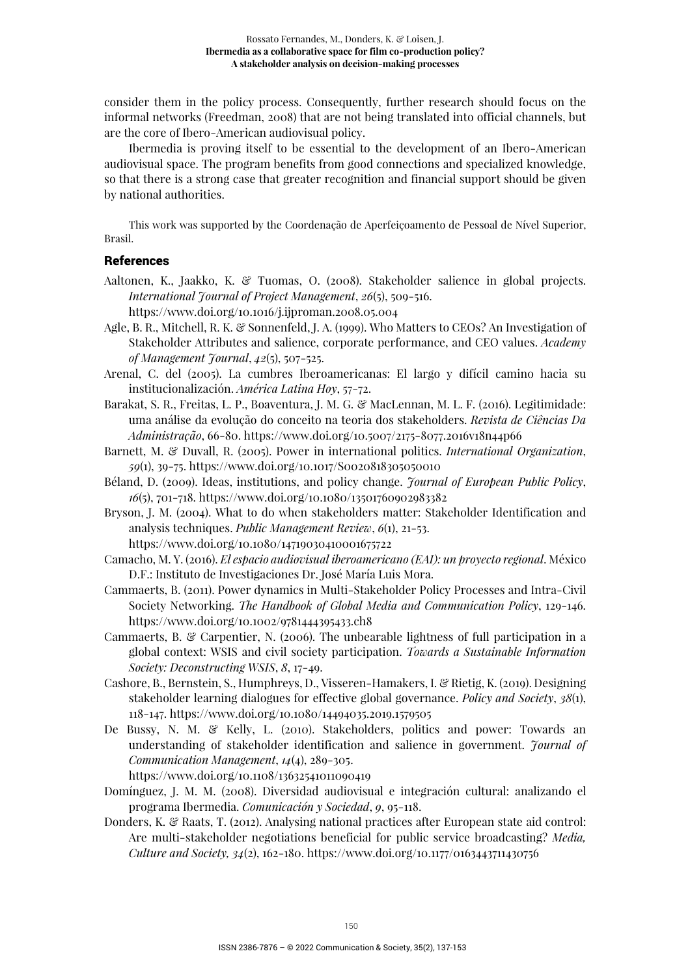consider them in the policy process. Consequently, further research should focus on the informal networks (Freedman, 2008) that are not being translated into official channels, but are the core of Ibero-American audiovisual policy.

Ibermedia is proving itself to be essential to the development of an Ibero-American audiovisual space. The program benefits from good connections and specialized knowledge, so that there is a strong case that greater recognition and financial support should be given by national authorities.

This work was supported by the Coordenação de Aperfeiçoamento de Pessoal de Nível Superior, Brasil.

# References

- Aaltonen, K., Jaakko, K. & Tuomas, O. (2008). Stakeholder salience in global projects. *International Journal of Project Management*, *26*(5), 509-516. https://www.doi.org/10.1016/j.ijproman.2008.05.004
- Agle, B. R., Mitchell, R. K. & Sonnenfeld, J. A. (1999). Who Matters to CEOs? An Investigation of Stakeholder Attributes and salience, corporate performance, and CEO values. *Academy of Management Journal*, *42*(5), 507-525.
- Arenal, C. del (2005). La cumbres Iberoamericanas: El largo y difícil camino hacia su institucionalización. *América Latina Hoy*, 57-72.
- Barakat, S. R., Freitas, L. P., Boaventura, J. M. G. & MacLennan, M. L. F. (2016). Legitimidade: uma análise da evolução do conceito na teoria dos stakeholders. *Revista de Ciências Da Administração*, 66-80. https://www.doi.org/10.5007/2175-8077.2016v18n44p66
- Barnett, M. & Duvall, R. (2005). Power in international politics. *International Organization*, *59*(1), 39-75. https://www.doi.org/10.1017/S0020818305050010
- Béland, D. (2009). Ideas, institutions, and policy change. *Journal of European Public Policy*, *16*(5), 701-718. https://www.doi.org/10.1080/13501760902983382
- Bryson, J. M. (2004). What to do when stakeholders matter: Stakeholder Identification and analysis techniques. *Public Management Review*, *6*(1), 21-53.

https://www.doi.org/10.1080/14719030410001675722

- Camacho, M. Y. (2016). *El espacio audiovisual iberoamericano (EAI): un proyecto regional*. México D.F.: Instituto de Investigaciones Dr. José María Luis Mora.
- Cammaerts, B. (2011). Power dynamics in Multi-Stakeholder Policy Processes and Intra-Civil Society Networking. *The Handbook of Global Media and Communication Policy*, 129-146. https://www.doi.org/10.1002/9781444395433.ch8
- Cammaerts, B. & Carpentier, N. (2006). The unbearable lightness of full participation in a global context: WSIS and civil society participation. *Towards a Sustainable Information Society: Deconstructing WSIS*, *8*, 17-49.
- Cashore, B., Bernstein, S., Humphreys, D., Visseren-Hamakers, I. & Rietig, K. (2019). Designing stakeholder learning dialogues for effective global governance. *Policy and Society*, *38*(1), 118-147. https://www.doi.org/10.1080/14494035.2019.1579505
- De Bussy, N. M. & Kelly, L. (2010). Stakeholders, politics and power: Towards an understanding of stakeholder identification and salience in government. *Journal of Communication Management*, *14*(4), 289-305 .

https://www.doi.org/10.1108/13632541011090419

- Domínguez, J. M. M. (2008). Diversidad audiovisual e integración cultural: analizando el programa Ibermedia. *Comunicación y Sociedad*, *9*, 95-118.
- Donders, K. & Raats, T. (2012). Analysing national practices after European state aid control: Are multi-stakeholder negotiations beneficial for public service broadcasting? *Media, Culture and Society, 34*(2), 162-180. https://www.doi.org/10.1177/0163443711430756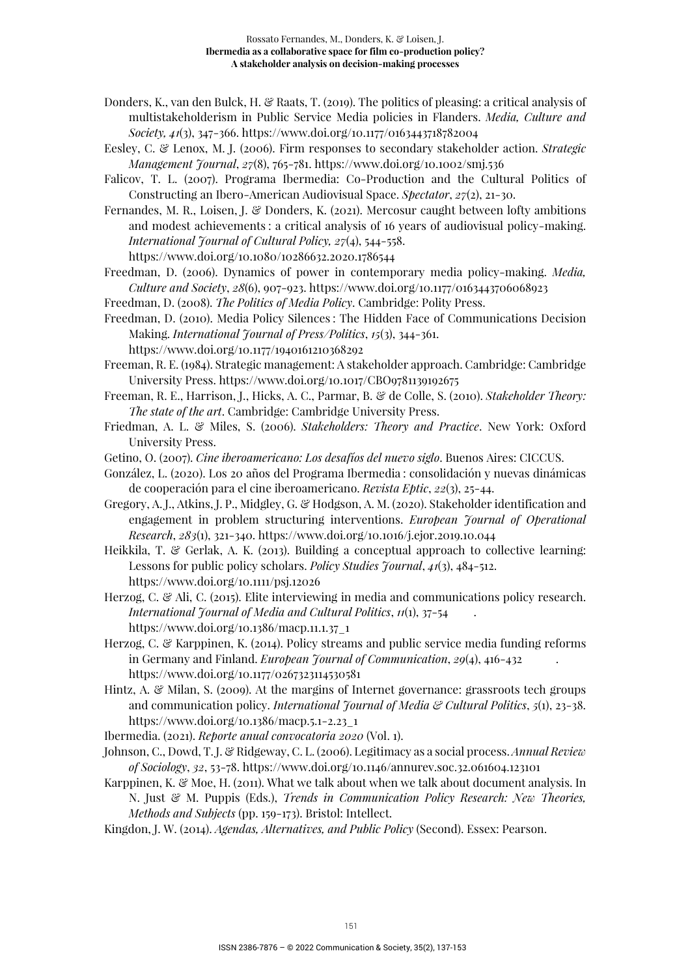- Donders, K., van den Bulck, H. & Raats, T. (2019). The politics of pleasing: a critical analysis of multistakeholderism in Public Service Media policies in Flanders. *Media, Culture and Society, 41*(3), 347-366. https://www.doi.org/10.1177/0163443718782004
- Eesley, C. & Lenox, M. J. (2006). Firm responses to secondary stakeholder action. *Strategic Management Journal*, *27*(8), 765-781. https://www.doi.org/10.1002/smj.536
- Falicov, T. L. (2007). Programa Ibermedia: Co-Production and the Cultural Politics of Constructing an Ibero-American Audiovisual Space. *Spectator*, *27*(2), 21-30.
- Fernandes, M. R., Loisen, J. & Donders, K. (2021). Mercosur caught between lofty ambitions and modest achievements : a critical analysis of 16 years of audiovisual policy-making. *International Journal of Cultural Policy, 27*(4), 544-558. https://www.doi.org/10.1080/10286632.2020.1786544
- Freedman, D. (2006). Dynamics of power in contemporary media policy-making. *Media, Culture and Society*, *28*(6), 907-923. https://www.doi.org/10.1177/0163443706068923
- Freedman, D. (2008). *The Politics of Media Policy*. Cambridge: Polity Press.
- Freedman, D. (2010). Media Policy Silences : The Hidden Face of Communications Decision Making. *International Journal of Press/Politics*, *15*(3), 344-361. https://www.doi.org/10.1177/1940161210368292
- Freeman, R. E. (1984). Strategic management: A stakeholder approach. Cambridge: Cambridge University Press. https://www.doi.org/10.1017/CBO9781139192675
- Freeman, R. E., Harrison, J., Hicks, A. C., Parmar, B. & de Colle, S. (2010). *Stakeholder Theory: The state of the art*. Cambridge: Cambridge University Press.
- Friedman, A. L. & Miles, S. (2006). *Stakeholders: Theory and Practice*. New York: Oxford University Press.
- Getino, O. (2007). *Cine iberoamericano: Los desafíos del nuevo siglo*. Buenos Aires: CICCUS.
- González, L. (2020). Los 20 años del Programa Ibermedia : consolidación y nuevas dinámicas de cooperación para el cine iberoamericano. *Revista Eptic*, *22*(3), 25-44.
- Gregory, A. J., Atkins, J. P., Midgley, G. & Hodgson, A. M. (2020). Stakeholder identification and engagement in problem structuring interventions. *European Journal of Operational Research*, *283*(1), 321-340. https://www.doi.org/10.1016/j.ejor.2019.10.044
- Heikkila, T. & Gerlak, A. K. (2013). Building a conceptual approach to collective learning: Lessons for public policy scholars. *Policy Studies Journal*, *41*(3), 484-512. https://www.doi.org/10.1111/psj.12026
- Herzog, C. & Ali, C. (2015). Elite interviewing in media and communications policy research. *International Journal of Media and Cultural Politics*, *11*(1), 37-54 . https://www.doi.org/10.1386/macp.11.1.37\_1
- Herzog, C. & Karppinen, K. (2014). Policy streams and public service media funding reforms in Germany and Finland. *European Journal of Communication*, *29*(4), 416-432 . https://www.doi.org/10.1177/0267323114530581
- Hintz, A. & Milan, S. (2009). At the margins of Internet governance: grassroots tech groups and communication policy. *International Journal of Media & Cultural Politics*, *5*(1), 23-38. https://www.doi.org/10.1386/macp.5.1-2.23\_1

Ibermedia. (2021). *Reporte anual convocatoria 2020* (Vol. 1).

- Johnson, C., Dowd, T. J. & Ridgeway, C. L. (2006). Legitimacy as a social process. *Annual Review of Sociology*, *32*, 53-78. https://www.doi.org/10.1146/annurev.soc.32.061604.123101
- Karppinen, K. & Moe, H. (2011). What we talk about when we talk about document analysis. In N. Just & M. Puppis (Eds.), *Trends in Communication Policy Research: New Theories, Methods and Subjects* (pp. 159-173). Bristol: Intellect.
- Kingdon, J. W. (2014). *Agendas, Alternatives, and Public Policy* (Second). Essex: Pearson.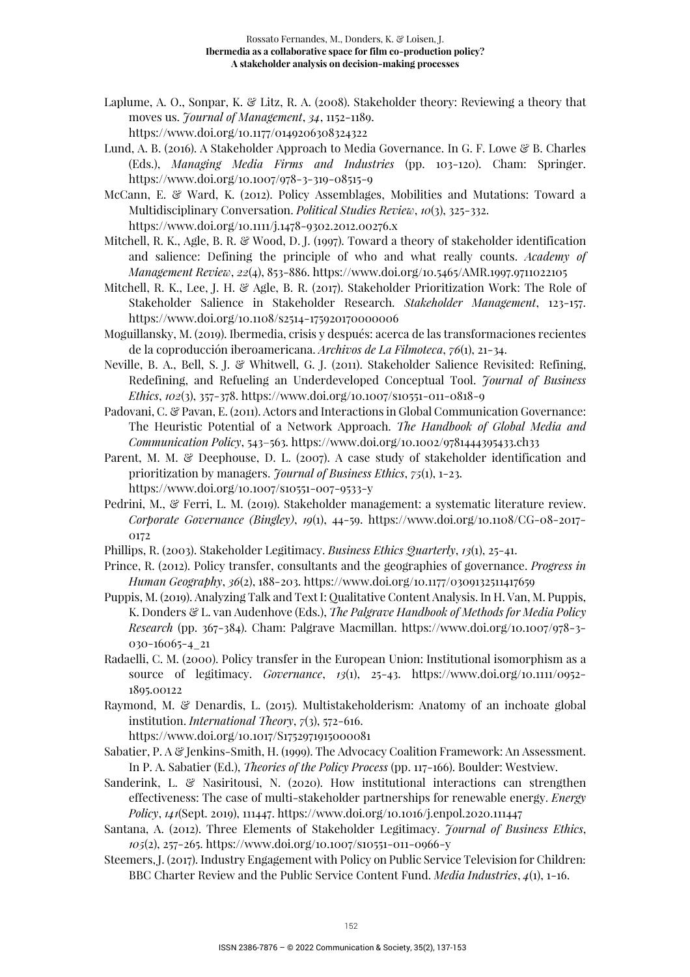- Laplume, A. O., Sonpar, K. & Litz, R. A. (2008). Stakeholder theory: Reviewing a theory that moves us. *Journal of Management*, *34*, 1152-1189. https://www.doi.org/10.1177/0149206308324322
- Lund, A. B. (2016). A Stakeholder Approach to Media Governance. In G. F. Lowe & B. Charles (Eds.), *Managing Media Firms and Industries* (pp. 103-120). Cham: Springer. https://www.doi.org/10.1007/978-3-319-08515-9

McCann, E. & Ward, K. (2012). Policy Assemblages, Mobilities and Mutations: Toward a Multidisciplinary Conversation. *Political Studies Review*, *10*(3), 325-332. https://www.doi.org/10.1111/j.1478-9302.2012.00276.x

Mitchell, R. K., Agle, B. R. & Wood, D. J. (1997). Toward a theory of stakeholder identification and salience: Defining the principle of who and what really counts. *Academy of Management Review*, *22*(4), 853-886. https://www.doi.org/10.5465/AMR.1997.9711022105

- Mitchell, R. K., Lee, J. H. & Agle, B. R. (2017). Stakeholder Prioritization Work: The Role of Stakeholder Salience in Stakeholder Research. *Stakeholder Management*, 123-157. https://www.doi.org/10.1108/s2514-175920170000006
- Moguillansky, M. (2019). Ibermedia, crisis y después: acerca de las transformaciones recientes de la coproducción iberoamericana. *Archivos de La Filmoteca*, *76*(1), 21-34.
- Neville, B. A., Bell, S. J. & Whitwell, G. J. (2011). Stakeholder Salience Revisited: Refining, Redefining, and Refueling an Underdeveloped Conceptual Tool. *Journal of Business Ethics*, *102*(3), 357-378. https://www.doi.org/10.1007/s10551-011-0818-9
- Padovani, C. & Pavan, E. (2011). Actors and Interactions in Global Communication Governance: The Heuristic Potential of a Network Approach. *The Handbook of Global Media and Communication Policy*, 543–563. https://www.doi.org/10.1002/9781444395433.ch33
- Parent, M. M. & Deephouse, D. L. (2007). A case study of stakeholder identification and prioritization by managers. *Journal of Business Ethics*, *75*(1), 1-23. https://www.doi.org/10.1007/s10551-007-9533-y
- Pedrini, M., & Ferri, L. M. (2019). Stakeholder management: a systematic literature review. *Corporate Governance (Bingley)*, *19*(1), 44-59. https://www.doi.org/10.1108/CG-08-2017- 0172
- Phillips, R. (2003). Stakeholder Legitimacy. *Business Ethics Quarterly*, *13*(1), 25-41.
- Prince, R. (2012). Policy transfer, consultants and the geographies of governance. *Progress in Human Geography*, *36*(2), 188-203. https://www.doi.org/10.1177/0309132511417659
- Puppis, M. (2019). Analyzing Talk and Text I: Qualitative Content Analysis. In H. Van, M. Puppis, K. Donders & L. van Audenhove (Eds.), *The Palgrave Handbook of Methods for Media Policy Research* (pp. 367-384). Cham: Palgrave Macmillan. https://www.doi.org/10.1007/978-3- 030-16065-4\_21
- Radaelli, C. M. (2000). Policy transfer in the European Union: Institutional isomorphism as a source of legitimacy. *Governance*, *13*(1), 25-43. https://www.doi.org/10.1111/0952- 1895.00122
- Raymond, M. & Denardis, L. (2015). Multistakeholderism: Anatomy of an inchoate global institution. *International Theory*, *7*(3), 572-616.

https://www.doi.org/10.1017/S1752971915000081

- Sabatier, P. A & Jenkins-Smith, H. (1999). The Advocacy Coalition Framework: An Assessment. In P. A. Sabatier (Ed.), *Theories of the Policy Process* (pp. 117-166). Boulder: Westview.
- Sanderink, L. & Nasiritousi, N. (2020). How institutional interactions can strengthen effectiveness: The case of multi-stakeholder partnerships for renewable energy. *Energy Policy*, *141*(Sept. 2019), 111447. https://www.doi.org/10.1016/j.enpol.2020.111447
- Santana, A. (2012). Three Elements of Stakeholder Legitimacy. *Journal of Business Ethics*, *105*(2), 257-265. https://www.doi.org/10.1007/s10551-011-0966-y
- Steemers, J. (2017). Industry Engagement with Policy on Public Service Television for Children: BBC Charter Review and the Public Service Content Fund. *Media Industries*, *4*(1), 1-16.